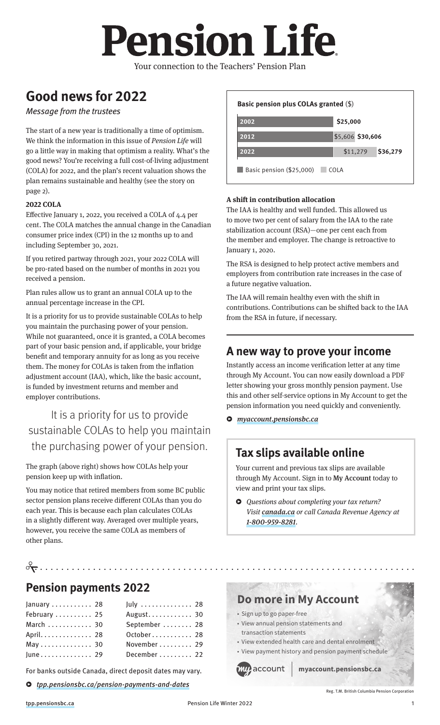# **Pension Life**

Your connection to the Teachers' Pension Plan

# **Good news for 2022**

#### Message from the trustees

The start of a new year is traditionally a time of optimism. We think the information in this issue of *Pension Life* will go a little way in making that optimism a reality. What's the good news? You're receiving a full cost-of-living adjustment (COLA) for 2022, and the plan's recent valuation shows the plan remains sustainable and healthy (see the story on page 2).

#### **2022 COLA**

Effective January 1, 2022, you received a COLA of 4.4 per cent. The COLA matches the annual change in the Canadian consumer price index (CPI) in the 12 months up to and including September 30, 2021.

If you retired partway through 2021, your 2022 COLA will be pro-rated based on the number of months in 2021 you received a pension.

Plan rules allow us to grant an annual COLA up to the annual percentage increase in the CPI.

It is a priority for us to provide sustainable COLAs to help you maintain the purchasing power of your pension. While not guaranteed, once it is granted, a COLA becomes part of your basic pension and, if applicable, your bridge benefit and temporary annuity for as long as you receive them. The money for COLAs is taken from the inflation adjustment account (IAA), which, like the basic account, is funded by investment returns and member and employer contributions.

It is a priority for us to provide sustainable COLAs to help you maintain the purchasing power of your pension.

The graph (above right) shows how COLAs help your pension keep up with inflation.

You may notice that retired members from some BC public sector pension plans receive different COLAs than you do each year. This is because each plan calculates COLAs in a slightly different way. Averaged over multiple years, however, you receive the same COLA as members of other plans.

#### **2022 2012 2002 Basic pension plus COLAs granted** (\$) Basic pension (\$25,000) COLA **\$25,000 \$36,279 \$30,606** \$5,606 \$11,279

#### **A shift in contribution allocation**

The IAA is healthy and well funded. This allowed us to move two per cent of salary from the IAA to the rate stabilization account (RSA)—one per cent each from the member and employer. The change is retroactive to January 1, 2020.

The RSA is designed to help protect active members and employers from contribution rate increases in the case of a future negative valuation.

The IAA will remain healthy even with the shift in contributions. Contributions can be shifted back to the IAA from the RSA in future, if necessary.

## **A new way to prove your income**

Instantly access an income verification letter at any time through My Account. You can now easily download a PDF letter showing your gross monthly pension payment. Use this and other self-service options in My Account to get the pension information you need quickly and conveniently.

ɇ *[myaccount.pensionsbc.ca](https://myaccount.pensionsbc.ca)*

## **Tax slips available online**

Your current and previous tax slips are available through My Account. Sign in to [My Account](https://myaccount.pensionsbc.ca) today to view and print your tax slips.

ɇ *Questions about completing your tax return? Visit [canada.ca](https://canada.ca) or call Canada Revenue Agency at [1-800-959-8281](tel:+1-800-959-8281).*

## • • • • • • • • • • • • • • • • • • • • • • • • • • • • • • • • • • • • • • • • • • • • • • • • • • • • • • • • • • • • • • • • • • • • • • • • **Pension payments 2022**

| January  28  | July $\ldots$ 28 |
|--------------|------------------|
| February  25 | August 30        |
| March  30    | September  28    |
| April. 28    | October 28       |
| May 30       | November  29     |
| June 29      | December  22     |

For banks outside Canada, direct deposit dates may vary.

ɇ tp[p.pensionsbc.ca/pension-payments-and-dates](https://tpp.pensionsbc.ca/pension-payments-and-dates)

# **[Do more in My Account](https://myaccount.pensionsbc.ca)**

- Sign up to go paper-free
- View annual pension statements and
- transaction statements
- View extended health care and dental enrolment • View payment history and pension payment schedule



**myaccount.pensionsbc.ca**